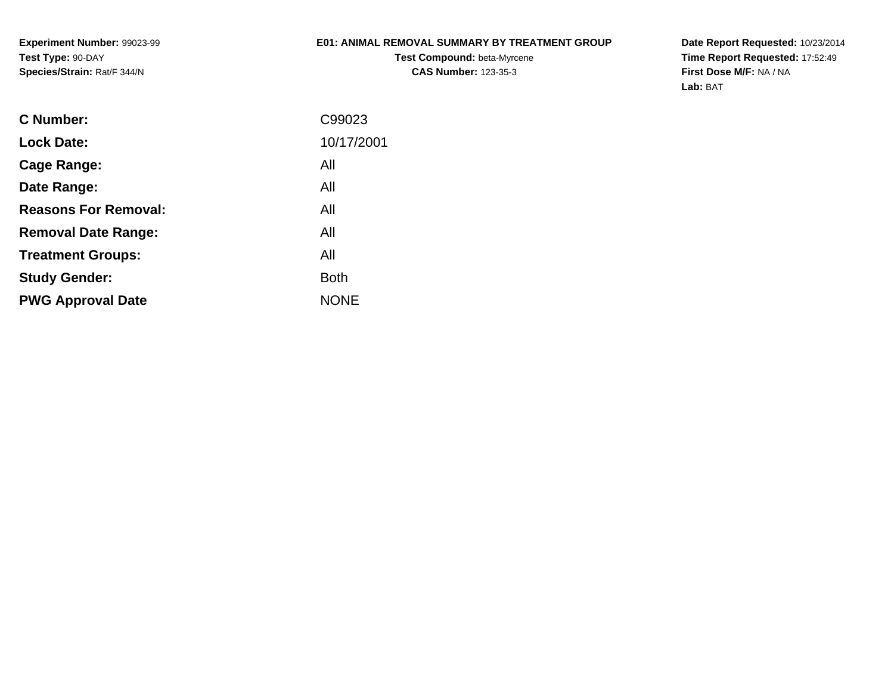**Experiment Number:** 99023-99**Test Type:** 90-DAY**Species/Strain:** Rat/F 344/N

## **E01: ANIMAL REMOVAL SUMMARY BY TREATMENT GROUP**

**Test Compound:** beta-Myrcene**CAS Number:** 123-35-3

| C99023      |
|-------------|
| 10/17/2001  |
| All         |
| All         |
| All         |
| All         |
| All         |
| <b>Both</b> |
| <b>NONE</b> |
|             |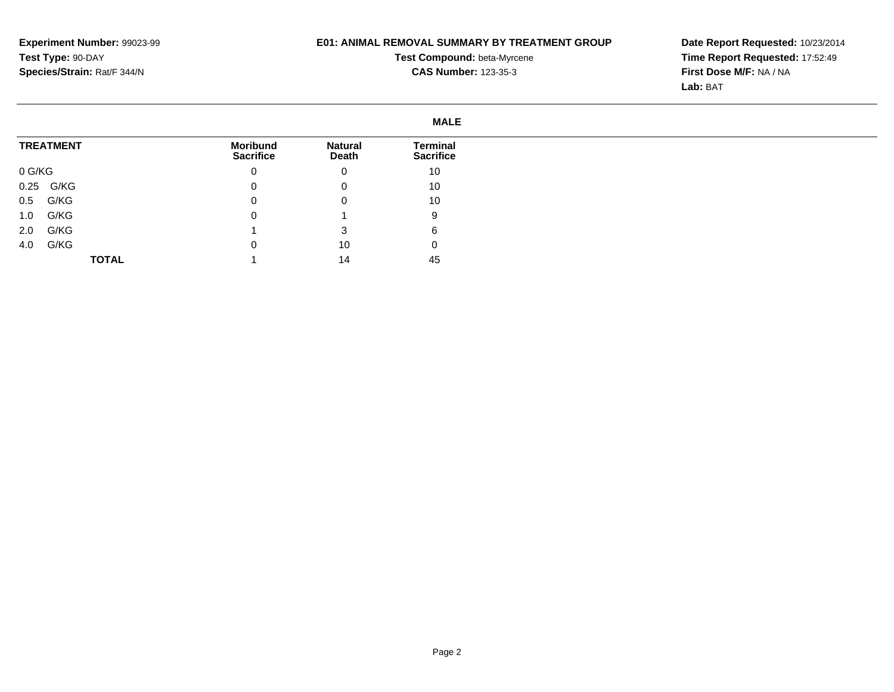# **E01: ANIMAL REMOVAL SUMMARY BY TREATMENT GROUP**

**Test Compound:** beta-Myrcene**CAS Number:** 123-35-3

|                  |                                     |                         | <b>MALE</b>                         |
|------------------|-------------------------------------|-------------------------|-------------------------------------|
| <b>TREATMENT</b> | <b>Moribund</b><br><b>Sacrifice</b> | <b>Natural</b><br>Death | <b>Terminal</b><br><b>Sacrifice</b> |
| 0 G/KG           | 0                                   | $\mathbf 0$             | 10                                  |
| 0.25 G/KG        | 0                                   | 0                       | 10                                  |
| G/KG<br>0.5      |                                     | 0                       | 10                                  |
| G/KG<br>1.0      |                                     |                         | 9                                   |
| G/KG<br>2.0      |                                     |                         | 6                                   |
| G/KG<br>4.0      |                                     | 10                      | υ                                   |
| <b>TOTAL</b>     |                                     | 14                      | 45                                  |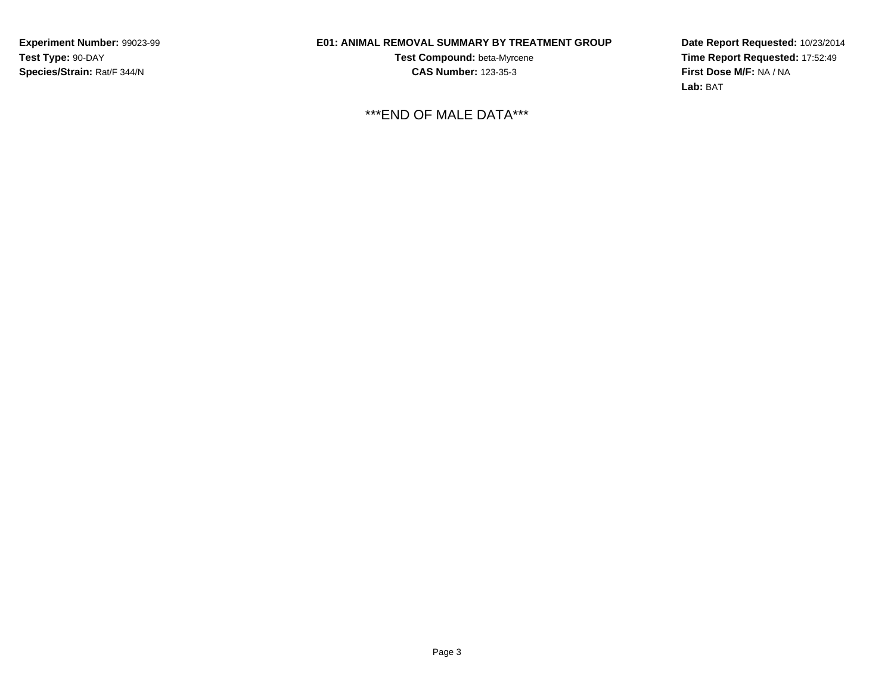**Experiment Number:** 99023-99**Test Type:** 90-DAY**Species/Strain:** Rat/F 344/N

# **E01: ANIMAL REMOVAL SUMMARY BY TREATMENT GROUP**

**Test Compound:** beta-Myrcene**CAS Number:** 123-35-3

\*\*\*END OF MALE DATA\*\*\*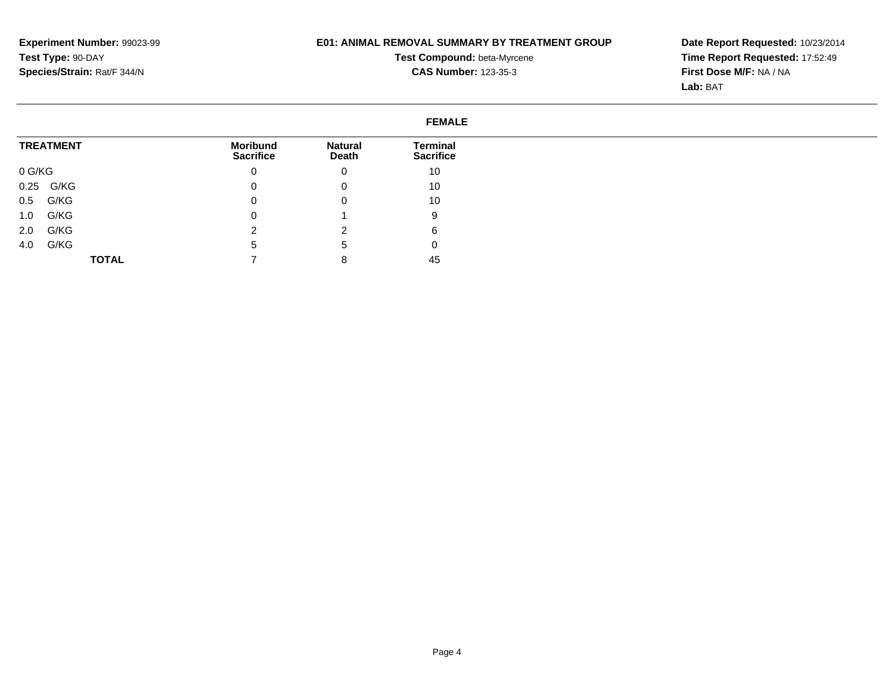# **E01: ANIMAL REMOVAL SUMMARY BY TREATMENT GROUP**

**Test Compound:** beta-Myrcene**CAS Number:** 123-35-3

|                  |                              | <b>FEMALE</b>           |                              |  |
|------------------|------------------------------|-------------------------|------------------------------|--|
| <b>TREATMENT</b> | Moribund<br><b>Sacrifice</b> | <b>Natural</b><br>Death | Terminal<br><b>Sacrifice</b> |  |
| 0 G/KG           | 0                            | 0                       | 10                           |  |
| 0.25 G/KG        | 0                            | 0                       | 10                           |  |
| G/KG<br>0.5      | 0                            | 0                       | 10                           |  |
| G/KG<br>1.0      | 0                            |                         | 9                            |  |
| G/KG<br>2.0      | റ                            | ົ<br>▵                  | 6                            |  |
| G/KG<br>4.0      | 5                            | 5                       | 0                            |  |
| <b>TOTAL</b>     |                              | 8                       | 45                           |  |